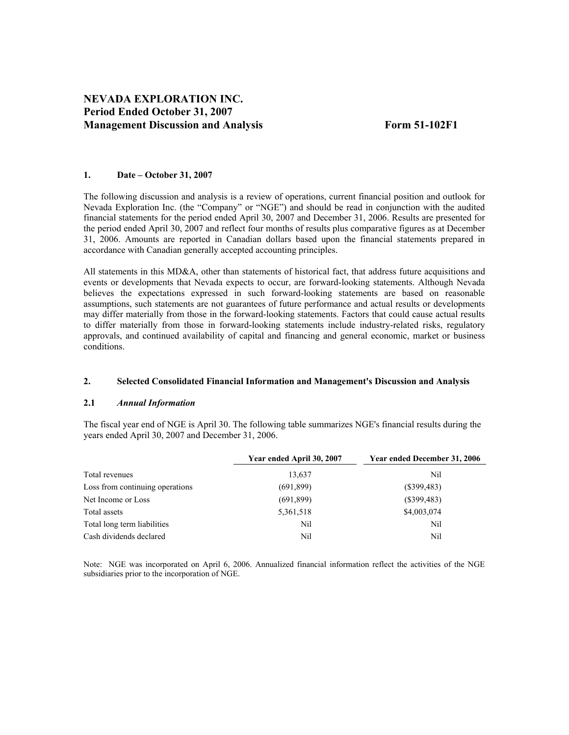# **NEVADA EXPLORATION INC. Period Ended October 31, 2007 Management Discussion and Analysis Form 51-102F1**

## **1. Date – October 31, 2007**

The following discussion and analysis is a review of operations, current financial position and outlook for Nevada Exploration Inc. (the "Company" or "NGE") and should be read in conjunction with the audited financial statements for the period ended April 30, 2007 and December 31, 2006. Results are presented for the period ended April 30, 2007 and reflect four months of results plus comparative figures as at December 31, 2006. Amounts are reported in Canadian dollars based upon the financial statements prepared in accordance with Canadian generally accepted accounting principles.

All statements in this MD&A, other than statements of historical fact, that address future acquisitions and events or developments that Nevada expects to occur, are forward-looking statements. Although Nevada believes the expectations expressed in such forward-looking statements are based on reasonable assumptions, such statements are not guarantees of future performance and actual results or developments may differ materially from those in the forward-looking statements. Factors that could cause actual results to differ materially from those in forward-looking statements include industry-related risks, regulatory approvals, and continued availability of capital and financing and general economic, market or business conditions.

## **2. Selected Consolidated Financial Information and Management's Discussion and Analysis**

#### **2.1** *Annual Information*

The fiscal year end of NGE is April 30. The following table summarizes NGE's financial results during the years ended April 30, 2007 and December 31, 2006.

|                                 | Year ended April 30, 2007 | Year ended December 31, 2006 |
|---------------------------------|---------------------------|------------------------------|
| Total revenues                  | 13,637                    | Nil                          |
| Loss from continuing operations | (691, 899)                | $(\$399,483)$                |
| Net Income or Loss              | (691,899)                 | $(\$399,483)$                |
| Total assets                    | 5,361,518                 | \$4,003,074                  |
| Total long term liabilities     | Nil                       | Nil                          |
| Cash dividends declared         | Nil                       | Nil                          |

Note: NGE was incorporated on April 6, 2006. Annualized financial information reflect the activities of the NGE subsidiaries prior to the incorporation of NGE.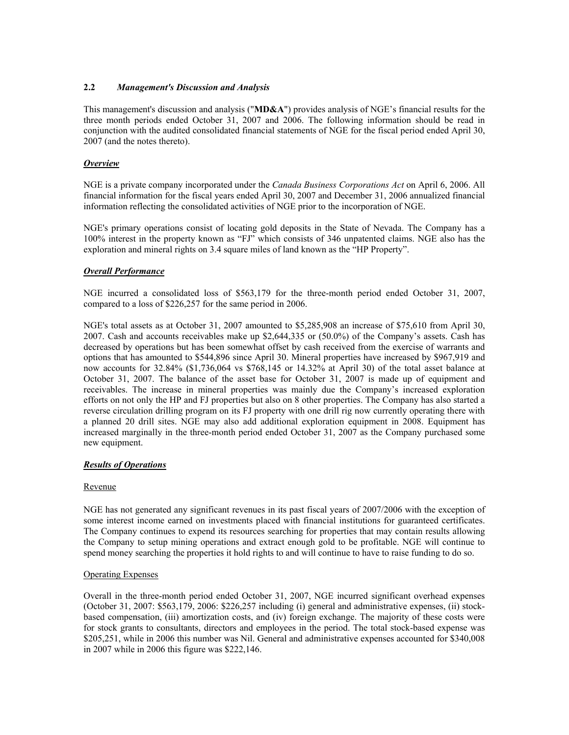## **2.2** *Management's Discussion and Analysis*

This management's discussion and analysis ("**MD&A**") provides analysis of NGE's financial results for the three month periods ended October 31, 2007 and 2006. The following information should be read in conjunction with the audited consolidated financial statements of NGE for the fiscal period ended April 30, 2007 (and the notes thereto).

#### *Overview*

NGE is a private company incorporated under the *Canada Business Corporations Act* on April 6, 2006. All financial information for the fiscal years ended April 30, 2007 and December 31, 2006 annualized financial information reflecting the consolidated activities of NGE prior to the incorporation of NGE.

NGE's primary operations consist of locating gold deposits in the State of Nevada. The Company has a 100% interest in the property known as "FJ" which consists of 346 unpatented claims. NGE also has the exploration and mineral rights on 3.4 square miles of land known as the "HP Property".

#### *Overall Performance*

NGE incurred a consolidated loss of \$563,179 for the three-month period ended October 31, 2007, compared to a loss of \$226,257 for the same period in 2006.

NGE's total assets as at October 31, 2007 amounted to \$5,285,908 an increase of \$75,610 from April 30, 2007. Cash and accounts receivables make up \$2,644,335 or (50.0%) of the Company's assets. Cash has decreased by operations but has been somewhat offset by cash received from the exercise of warrants and options that has amounted to \$544,896 since April 30. Mineral properties have increased by \$967,919 and now accounts for 32.84% (\$1,736,064 vs \$768,145 or 14.32% at April 30) of the total asset balance at October 31, 2007. The balance of the asset base for October 31, 2007 is made up of equipment and receivables. The increase in mineral properties was mainly due the Company's increased exploration efforts on not only the HP and FJ properties but also on 8 other properties. The Company has also started a reverse circulation drilling program on its FJ property with one drill rig now currently operating there with a planned 20 drill sites. NGE may also add additional exploration equipment in 2008. Equipment has increased marginally in the three-month period ended October 31, 2007 as the Company purchased some new equipment.

## *Results of Operations*

#### Revenue

NGE has not generated any significant revenues in its past fiscal years of 2007/2006 with the exception of some interest income earned on investments placed with financial institutions for guaranteed certificates. The Company continues to expend its resources searching for properties that may contain results allowing the Company to setup mining operations and extract enough gold to be profitable. NGE will continue to spend money searching the properties it hold rights to and will continue to have to raise funding to do so.

#### Operating Expenses

Overall in the three-month period ended October 31, 2007, NGE incurred significant overhead expenses (October 31, 2007: \$563,179, 2006: \$226,257 including (i) general and administrative expenses, (ii) stockbased compensation, (iii) amortization costs, and (iv) foreign exchange. The majority of these costs were for stock grants to consultants, directors and employees in the period. The total stock-based expense was \$205,251, while in 2006 this number was Nil. General and administrative expenses accounted for \$340,008 in 2007 while in 2006 this figure was \$222,146.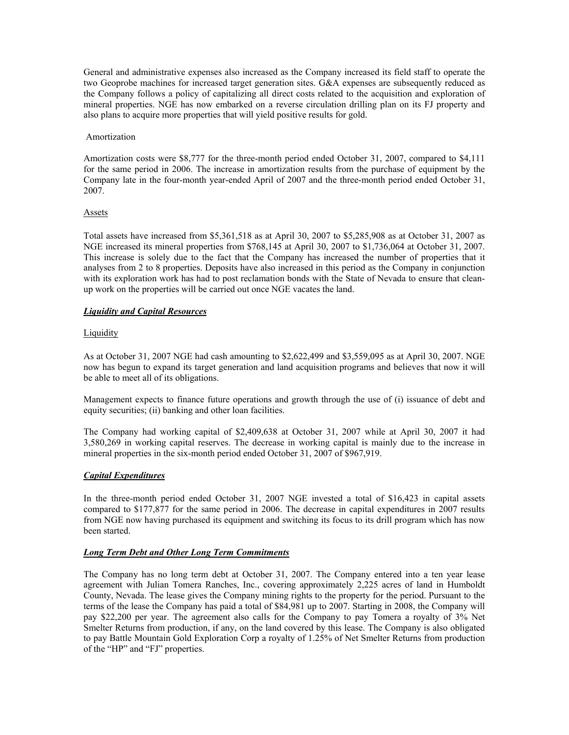General and administrative expenses also increased as the Company increased its field staff to operate the two Geoprobe machines for increased target generation sites. G&A expenses are subsequently reduced as the Company follows a policy of capitalizing all direct costs related to the acquisition and exploration of mineral properties. NGE has now embarked on a reverse circulation drilling plan on its FJ property and also plans to acquire more properties that will yield positive results for gold.

#### Amortization

Amortization costs were \$8,777 for the three-month period ended October 31, 2007, compared to \$4,111 for the same period in 2006. The increase in amortization results from the purchase of equipment by the Company late in the four-month year-ended April of 2007 and the three-month period ended October 31, 2007.

#### Assets

Total assets have increased from \$5,361,518 as at April 30, 2007 to \$5,285,908 as at October 31, 2007 as NGE increased its mineral properties from \$768,145 at April 30, 2007 to \$1,736,064 at October 31, 2007. This increase is solely due to the fact that the Company has increased the number of properties that it analyses from 2 to 8 properties. Deposits have also increased in this period as the Company in conjunction with its exploration work has had to post reclamation bonds with the State of Nevada to ensure that cleanup work on the properties will be carried out once NGE vacates the land.

## *Liquidity and Capital Resources*

## Liquidity

As at October 31, 2007 NGE had cash amounting to \$2,622,499 and \$3,559,095 as at April 30, 2007. NGE now has begun to expand its target generation and land acquisition programs and believes that now it will be able to meet all of its obligations.

Management expects to finance future operations and growth through the use of (i) issuance of debt and equity securities; (ii) banking and other loan facilities.

The Company had working capital of \$2,409,638 at October 31, 2007 while at April 30, 2007 it had 3,580,269 in working capital reserves. The decrease in working capital is mainly due to the increase in mineral properties in the six-month period ended October 31, 2007 of \$967,919.

## *Capital Expenditures*

In the three-month period ended October 31, 2007 NGE invested a total of \$16,423 in capital assets compared to \$177,877 for the same period in 2006. The decrease in capital expenditures in 2007 results from NGE now having purchased its equipment and switching its focus to its drill program which has now been started.

## *Long Term Debt and Other Long Term Commitments*

The Company has no long term debt at October 31, 2007. The Company entered into a ten year lease agreement with Julian Tomera Ranches, Inc., covering approximately 2,225 acres of land in Humboldt County, Nevada. The lease gives the Company mining rights to the property for the period. Pursuant to the terms of the lease the Company has paid a total of \$84,981 up to 2007. Starting in 2008, the Company will pay \$22,200 per year. The agreement also calls for the Company to pay Tomera a royalty of 3% Net Smelter Returns from production, if any, on the land covered by this lease. The Company is also obligated to pay Battle Mountain Gold Exploration Corp a royalty of 1.25% of Net Smelter Returns from production of the "HP" and "FJ" properties.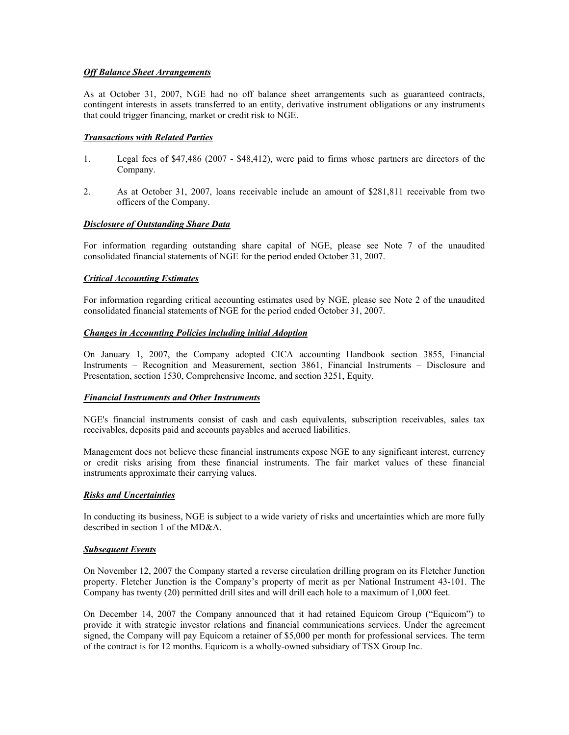#### *Off Balance Sheet Arrangements*

As at October 31, 2007, NGE had no off balance sheet arrangements such as guaranteed contracts, contingent interests in assets transferred to an entity, derivative instrument obligations or any instruments that could trigger financing, market or credit risk to NGE.

#### *Transactions with Related Parties*

- 1. Legal fees of \$47,486 (2007 \$48,412), were paid to firms whose partners are directors of the Company.
- 2. As at October 31, 2007, loans receivable include an amount of \$281,811 receivable from two officers of the Company.

## *Disclosure of Outstanding Share Data*

For information regarding outstanding share capital of NGE, please see Note 7 of the unaudited consolidated financial statements of NGE for the period ended October 31, 2007.

#### *Critical Accounting Estimates*

For information regarding critical accounting estimates used by NGE, please see Note 2 of the unaudited consolidated financial statements of NGE for the period ended October 31, 2007.

#### *Changes in Accounting Policies including initial Adoption*

On January 1, 2007, the Company adopted CICA accounting Handbook section 3855, Financial Instruments – Recognition and Measurement, section 3861, Financial Instruments – Disclosure and Presentation, section 1530, Comprehensive Income, and section 3251, Equity.

#### *Financial Instruments and Other Instruments*

NGE's financial instruments consist of cash and cash equivalents, subscription receivables, sales tax receivables, deposits paid and accounts payables and accrued liabilities.

Management does not believe these financial instruments expose NGE to any significant interest, currency or credit risks arising from these financial instruments. The fair market values of these financial instruments approximate their carrying values.

## *Risks and Uncertainties*

In conducting its business, NGE is subject to a wide variety of risks and uncertainties which are more fully described in section 1 of the MD&A.

#### *Subsequent Events*

On November 12, 2007 the Company started a reverse circulation drilling program on its Fletcher Junction property. Fletcher Junction is the Company's property of merit as per National Instrument 43-101. The Company has twenty (20) permitted drill sites and will drill each hole to a maximum of 1,000 feet.

On December 14, 2007 the Company announced that it had retained Equicom Group ("Equicom") to provide it with strategic investor relations and financial communications services. Under the agreement signed, the Company will pay Equicom a retainer of \$5,000 per month for professional services. The term of the contract is for 12 months. Equicom is a wholly-owned subsidiary of TSX Group Inc.